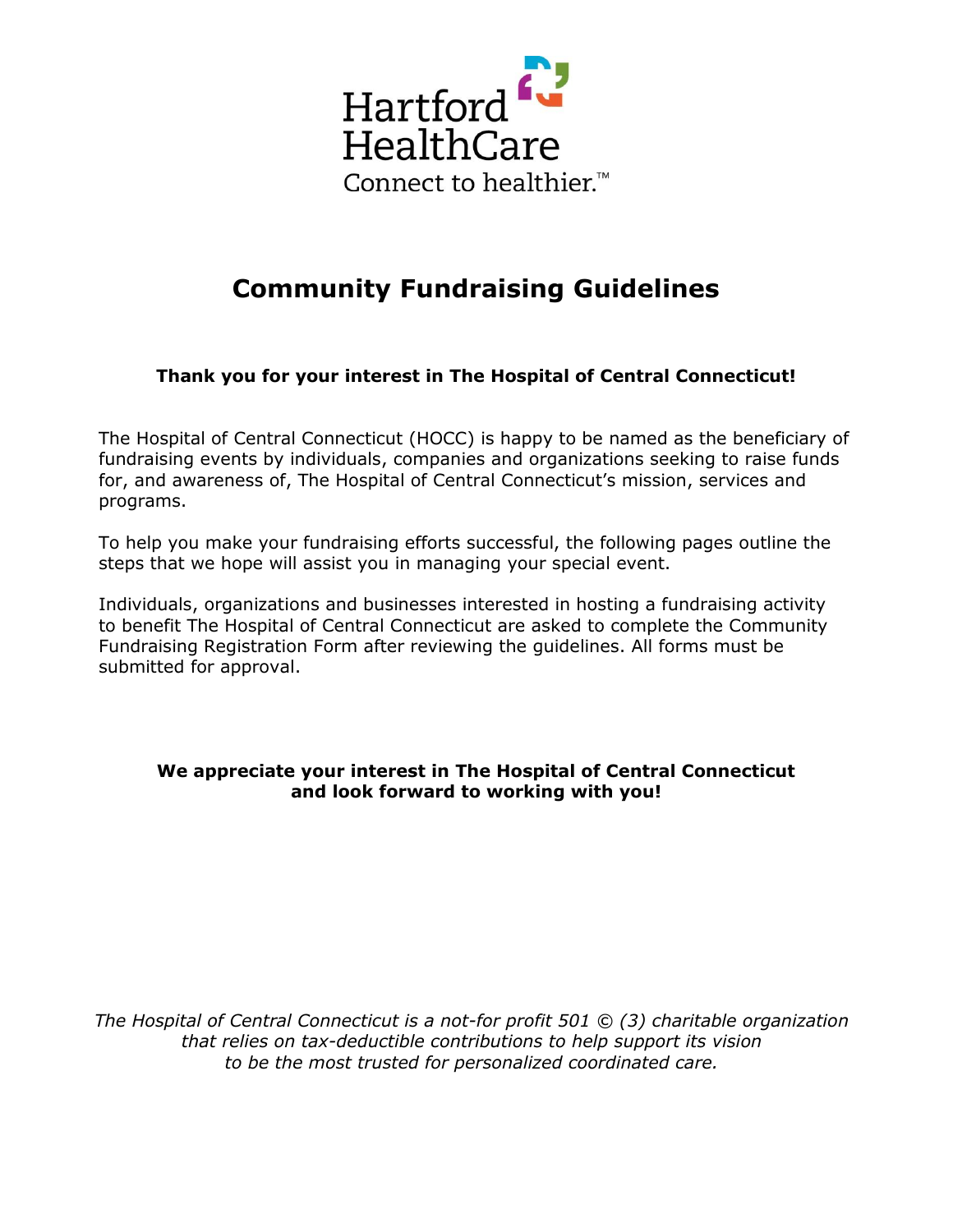

## **Community Fundraising Guidelines**

**Thank you for your interest in The Hospital of Central Connecticut!**

The Hospital of Central Connecticut (HOCC) is happy to be named as the beneficiary of fundraising events by individuals, companies and organizations seeking to raise funds for, and awareness of, The Hospital of Central Connecticut's mission, services and programs.

To help you make your fundraising efforts successful, the following pages outline the steps that we hope will assist you in managing your special event.

Individuals, organizations and businesses interested in hosting a fundraising activity to benefit The Hospital of Central Connecticut are asked to complete the Community Fundraising Registration Form after reviewing the guidelines. All forms must be submitted for approval.

## **We appreciate your interest in The Hospital of Central Connecticut and look forward to working with you!**

*The Hospital of Central Connecticut is a not-for profit 501 © (3) charitable organization that relies on tax-deductible contributions to help support its vision to be the most trusted for personalized coordinated care.*